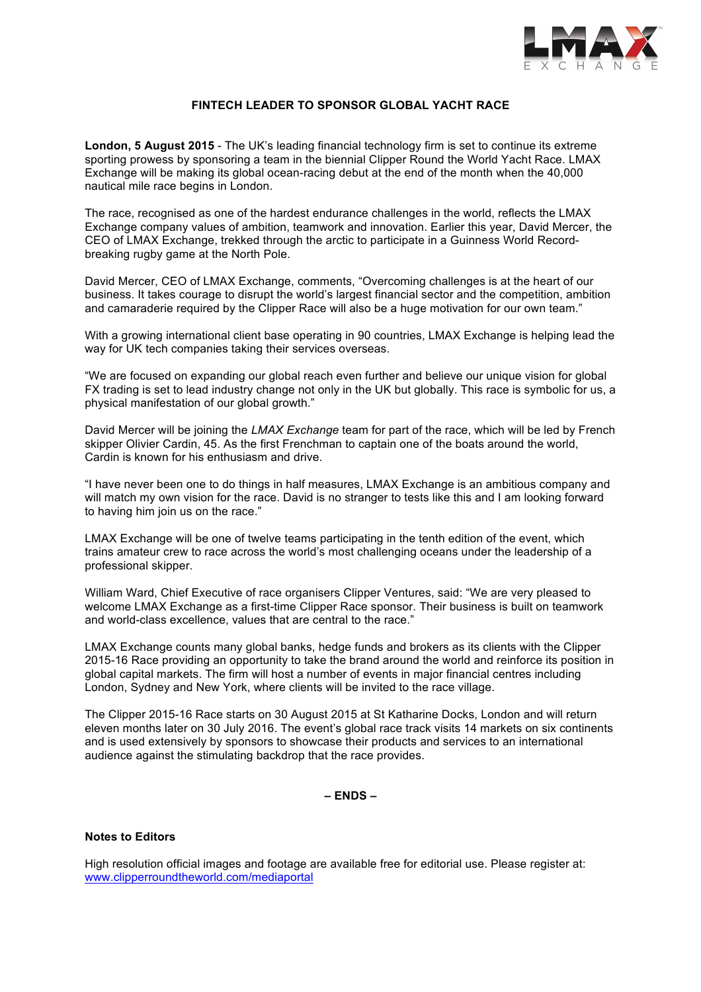

# **FINTECH LEADER TO SPONSOR GLOBAL YACHT RACE**

**London, 5 August 2015** - The UK's leading financial technology firm is set to continue its extreme sporting prowess by sponsoring a team in the biennial Clipper Round the World Yacht Race. LMAX Exchange will be making its global ocean-racing debut at the end of the month when the 40,000 nautical mile race begins in London.

The race, recognised as one of the hardest endurance challenges in the world, reflects the LMAX Exchange company values of ambition, teamwork and innovation. Earlier this year, David Mercer, the CEO of LMAX Exchange, trekked through the arctic to participate in a Guinness World Recordbreaking rugby game at the North Pole.

David Mercer, CEO of LMAX Exchange, comments, "Overcoming challenges is at the heart of our business. It takes courage to disrupt the world's largest financial sector and the competition, ambition and camaraderie required by the Clipper Race will also be a huge motivation for our own team."

With a growing international client base operating in 90 countries, LMAX Exchange is helping lead the way for UK tech companies taking their services overseas.

"We are focused on expanding our global reach even further and believe our unique vision for global FX trading is set to lead industry change not only in the UK but globally. This race is symbolic for us, a physical manifestation of our global growth."

David Mercer will be joining the *LMAX Exchange* team for part of the race, which will be led by French skipper Olivier Cardin, 45. As the first Frenchman to captain one of the boats around the world, Cardin is known for his enthusiasm and drive.

"I have never been one to do things in half measures, LMAX Exchange is an ambitious company and will match my own vision for the race. David is no stranger to tests like this and I am looking forward to having him join us on the race."

LMAX Exchange will be one of twelve teams participating in the tenth edition of the event, which trains amateur crew to race across the world's most challenging oceans under the leadership of a professional skipper.

William Ward, Chief Executive of race organisers Clipper Ventures, said: "We are very pleased to welcome LMAX Exchange as a first-time Clipper Race sponsor. Their business is built on teamwork and world-class excellence, values that are central to the race."

LMAX Exchange counts many global banks, hedge funds and brokers as its clients with the Clipper 2015-16 Race providing an opportunity to take the brand around the world and reinforce its position in global capital markets. The firm will host a number of events in major financial centres including London, Sydney and New York, where clients will be invited to the race village.

The Clipper 2015-16 Race starts on 30 August 2015 at St Katharine Docks, London and will return eleven months later on 30 July 2016. The event's global race track visits 14 markets on six continents and is used extensively by sponsors to showcase their products and services to an international audience against the stimulating backdrop that the race provides.

**– ENDS –**

## **Notes to Editors**

High resolution official images and footage are available free for editorial use. Please register at: www.clipperroundtheworld.com/mediaportal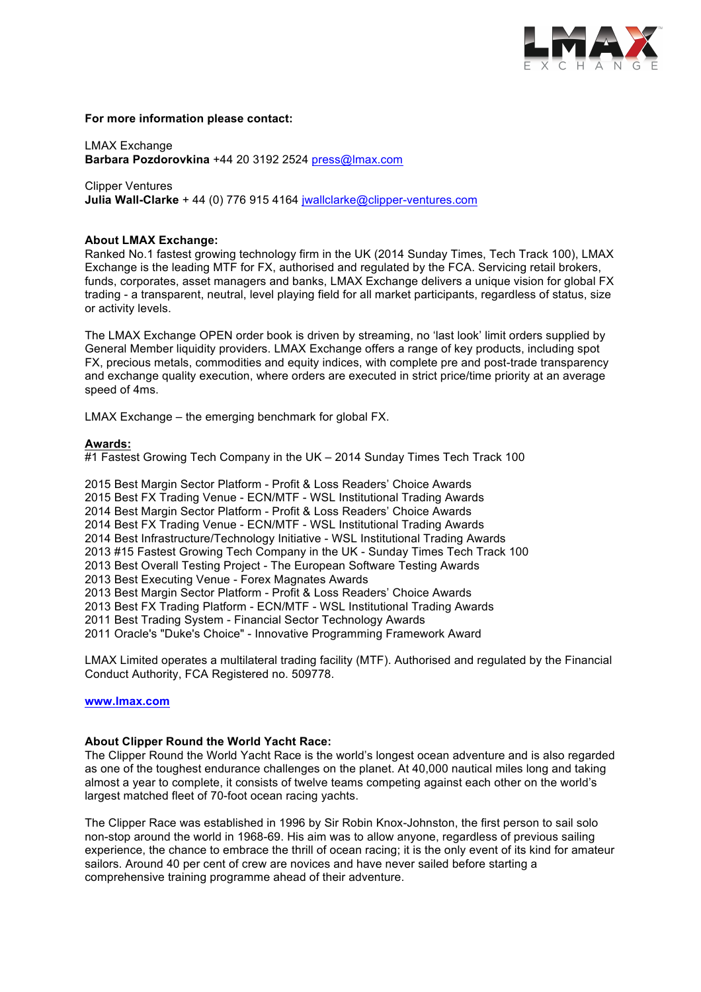

## **For more information please contact:**

LMAX Exchange **Barbara Pozdorovkina** +44 20 3192 2524 press@lmax.com

Clipper Ventures **Julia Wall-Clarke** + 44 (0) 776 915 4164 jwallclarke@clipper-ventures.com

### **About LMAX Exchange:**

Ranked No.1 fastest growing technology firm in the UK (2014 Sunday Times, Tech Track 100), LMAX Exchange is the leading MTF for FX, authorised and regulated by the FCA. Servicing retail brokers, funds, corporates, asset managers and banks, LMAX Exchange delivers a unique vision for global FX trading - a transparent, neutral, level playing field for all market participants, regardless of status, size or activity levels.

The LMAX Exchange OPEN order book is driven by streaming, no 'last look' limit orders supplied by General Member liquidity providers. LMAX Exchange offers a range of key products, including spot FX, precious metals, commodities and equity indices, with complete pre and post-trade transparency and exchange quality execution, where orders are executed in strict price/time priority at an average speed of 4ms.

LMAX Exchange – the emerging benchmark for global FX.

#### **Awards:**

#1 Fastest Growing Tech Company in the UK - 2014 Sunday Times Tech Track 100

2015 Best Margin Sector Platform - Profit & Loss Readers' Choice Awards 2015 Best FX Trading Venue - ECN/MTF - WSL Institutional Trading Awards 2014 Best Margin Sector Platform - Profit & Loss Readers' Choice Awards 2014 Best FX Trading Venue - ECN/MTF - WSL Institutional Trading Awards 2014 Best Infrastructure/Technology Initiative - WSL Institutional Trading Awards 2013 #15 Fastest Growing Tech Company in the UK - Sunday Times Tech Track 100 2013 Best Overall Testing Project - The European Software Testing Awards 2013 Best Executing Venue - Forex Magnates Awards 2013 Best Margin Sector Platform - Profit & Loss Readers' Choice Awards 2013 Best FX Trading Platform - ECN/MTF - WSL Institutional Trading Awards 2011 Best Trading System - Financial Sector Technology Awards 2011 Oracle's "Duke's Choice" - Innovative Programming Framework Award

LMAX Limited operates a multilateral trading facility (MTF). Authorised and regulated by the Financial Conduct Authority, FCA Registered no. 509778.

# **www.lmax.com**

#### **About Clipper Round the World Yacht Race:**

The Clipper Round the World Yacht Race is the world's longest ocean adventure and is also regarded as one of the toughest endurance challenges on the planet. At 40,000 nautical miles long and taking almost a year to complete, it consists of twelve teams competing against each other on the world's largest matched fleet of 70-foot ocean racing yachts.

The Clipper Race was established in 1996 by Sir Robin Knox-Johnston, the first person to sail solo non-stop around the world in 1968-69. His aim was to allow anyone, regardless of previous sailing experience, the chance to embrace the thrill of ocean racing; it is the only event of its kind for amateur sailors. Around 40 per cent of crew are novices and have never sailed before starting a comprehensive training programme ahead of their adventure.